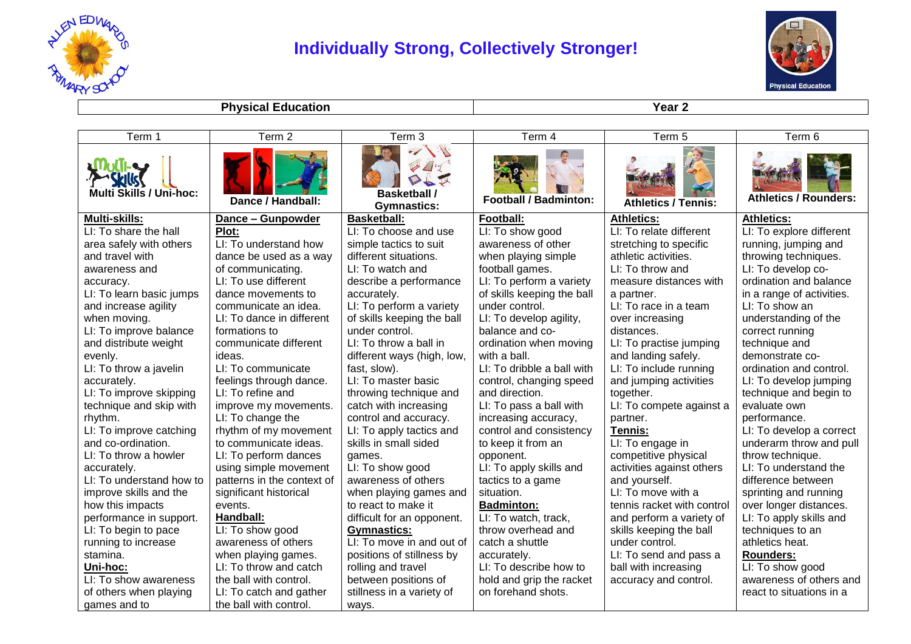

## **Individually Strong, Collectively Stronger!**



**Physical Education Year 2** 

| Term 1                                                   | Term 2                     | Term 3                                    | Term 4                       | Term 5                     | Term 6                       |
|----------------------------------------------------------|----------------------------|-------------------------------------------|------------------------------|----------------------------|------------------------------|
| <b>Provided Street</b><br><b>Multi Skills / Uni-hoc:</b> | Dance / Handball:          | <b>Basketball /</b><br><b>Gymnastics:</b> | <b>Football / Badminton:</b> | <b>Athletics / Tennis:</b> | <b>Athletics / Rounders:</b> |
| Multi-skills:                                            | Dance - Gunpowder          | <b>Basketball:</b>                        | Football:                    | <b>Athletics:</b>          | <b>Athletics:</b>            |
| LI: To share the hall                                    | Plot:                      | LI: To choose and use                     | LI: To show good             | LI: To relate different    | LI: To explore different     |
| area safely with others                                  | LI: To understand how      | simple tactics to suit                    | awareness of other           | stretching to specific     | running, jumping and         |
| and travel with                                          | dance be used as a way     | different situations.                     | when playing simple          | athletic activities.       | throwing techniques.         |
| awareness and                                            | of communicating.          | LI: To watch and                          | football games.              | LI: To throw and           | LI: To develop co-           |
| accuracy.                                                | LI: To use different       | describe a performance                    | LI: To perform a variety     | measure distances with     | ordination and balance       |
| LI: To learn basic jumps                                 | dance movements to         | accurately.                               | of skills keeping the ball   | a partner.                 | in a range of activities.    |
| and increase agility                                     | communicate an idea.       | LI: To perform a variety                  | under control.               | LI: To race in a team      | LI: To show an               |
| when moving.                                             | LI: To dance in different  | of skills keeping the ball                | LI: To develop agility,      | over increasing            | understanding of the         |
| LI: To improve balance                                   | formations to              | under control.                            | balance and co-              | distances.                 | correct running              |
| and distribute weight                                    | communicate different      | LI: To throw a ball in                    | ordination when moving       | LI: To practise jumping    | technique and                |
| evenly.                                                  | ideas.                     | different ways (high, low,                | with a ball.                 | and landing safely.        | demonstrate co-              |
| LI: To throw a javelin                                   | LI: To communicate         | fast, slow).                              | LI: To dribble a ball with   | LI: To include running     | ordination and control.      |
| accurately.                                              | feelings through dance.    | LI: To master basic                       | control, changing speed      | and jumping activities     | LI: To develop jumping       |
| LI: To improve skipping                                  | LI: To refine and          | throwing technique and                    | and direction.               | together.                  | technique and begin to       |
| technique and skip with                                  | improve my movements.      | catch with increasing                     | LI: To pass a ball with      | LI: To compete against a   | evaluate own                 |
| rhythm.                                                  | LI: To change the          | control and accuracy.                     | increasing accuracy,         | partner.                   | performance.                 |
| LI: To improve catching                                  | rhythm of my movement      | LI: To apply tactics and                  | control and consistency      | Tennis:                    | LI: To develop a correct     |
| and co-ordination.                                       | to communicate ideas.      | skills in small sided                     | to keep it from an           | LI: To engage in           | underarm throw and pull      |
| LI: To throw a howler                                    | LI: To perform dances      | games.                                    | opponent.                    | competitive physical       | throw technique.             |
| accurately.                                              | using simple movement      | LI: To show good                          | LI: To apply skills and      | activities against others  | LI: To understand the        |
| LI: To understand how to                                 | patterns in the context of | awareness of others                       | tactics to a game            | and yourself.              | difference between           |
| improve skills and the                                   | significant historical     | when playing games and                    | situation.                   | LI: To move with a         | sprinting and running        |
| how this impacts                                         | events.                    | to react to make it                       | <b>Badminton:</b>            | tennis racket with control | over longer distances.       |
| performance in support.                                  | Handball:                  | difficult for an opponent.                | LI: To watch, track,         | and perform a variety of   | LI: To apply skills and      |
| LI: To begin to pace                                     | LI: To show good           | <b>Gymnastics:</b>                        | throw overhead and           | skills keeping the ball    | techniques to an             |
| running to increase                                      | awareness of others        | LI: To move in and out of                 | catch a shuttle              | under control.             | athletics heat.              |
| stamina.                                                 | when playing games.        | positions of stillness by                 | accurately.                  | LI: To send and pass a     | <b>Rounders:</b>             |
| Uni-hoc:                                                 | LI: To throw and catch     | rolling and travel                        | LI: To describe how to       | ball with increasing       | LI: To show good             |
| LI: To show awareness                                    | the ball with control.     | between positions of                      | hold and grip the racket     | accuracy and control.      | awareness of others and      |
| of others when playing                                   | LI: To catch and gather    | stillness in a variety of                 | on forehand shots.           |                            | react to situations in a     |
| games and to                                             | the ball with control.     | ways.                                     |                              |                            |                              |